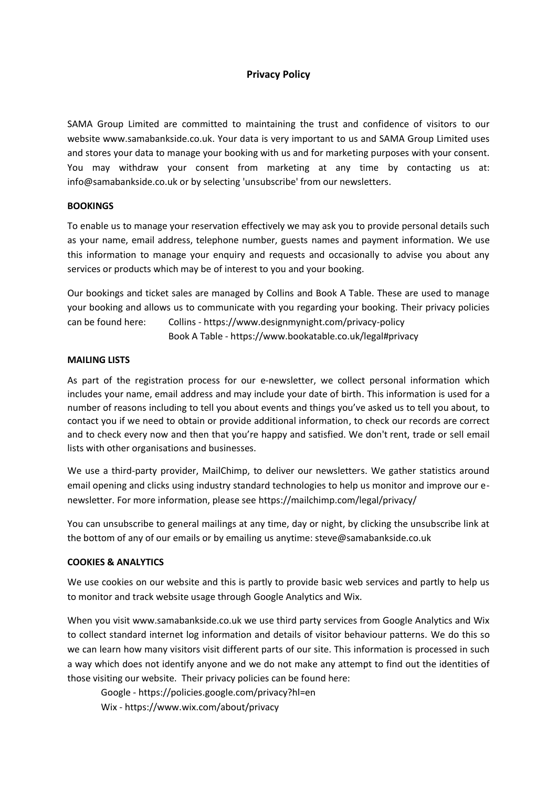# **Privacy Policy**

SAMA Group Limited are committed to maintaining the trust and confidence of visitors to our website www.samabankside.co.uk. Your data is very important to us and SAMA Group Limited uses and stores your data to manage your booking with us and for marketing purposes with your consent. You may withdraw your consent from marketing at any time by contacting us at: info@samabankside.co.uk or by selecting 'unsubscribe' from our newsletters.

# **BOOKINGS**

To enable us to manage your reservation effectively we may ask you to provide personal details such as your name, email address, telephone number, guests names and payment information. We use this information to manage your enquiry and requests and occasionally to advise you about any services or products which may be of interest to you and your booking.

Our bookings and ticket sales are managed by Collins and Book A Table. These are used to manage your booking and allows us to communicate with you regarding your booking. Their privacy policies can be found here: Collins - https://www.designmynight.com/privacy-policy Book A Table - https://www.bookatable.co.uk/legal#privacy

#### **MAILING LISTS**

As part of the registration process for our e-newsletter, we collect personal information which includes your name, email address and may include your date of birth. This information is used for a number of reasons including to tell you about events and things you've asked us to tell you about, to contact you if we need to obtain or provide additional information, to check our records are correct and to check every now and then that you're happy and satisfied. We don't rent, trade or sell email lists with other organisations and businesses.

We use a third-party provider, MailChimp, to deliver our newsletters. We gather statistics around email opening and clicks using industry standard technologies to help us monitor and improve our enewsletter. For more information, please see https://mailchimp.com/legal/privacy/

You can unsubscribe to general mailings at any time, day or night, by clicking the unsubscribe link at the bottom of any of our emails or by emailing us anytime: steve@samabankside.co.uk

#### **COOKIES & ANALYTICS**

We use cookies on our website and this is partly to provide basic web services and partly to help us to monitor and track website usage through Google Analytics and Wix.

When you visit www.samabankside.co.uk we use third party services from Google Analytics and Wix to collect standard internet log information and details of visitor behaviour patterns. We do this so we can learn how many visitors visit different parts of our site. This information is processed in such a way which does not identify anyone and we do not make any attempt to find out the identities of those visiting our website. Their privacy policies can be found here:

Google - https://policies.google.com/privacy?hl=en Wix - https://www.wix.com/about/privacy